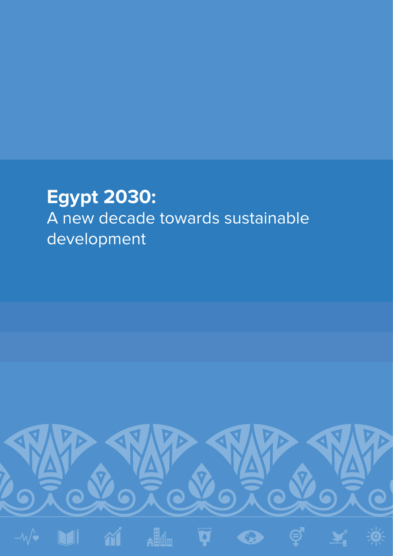# **Egypt 2030:** A new decade towards sustainable development

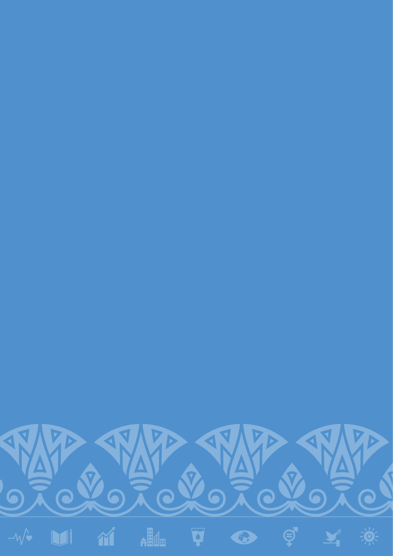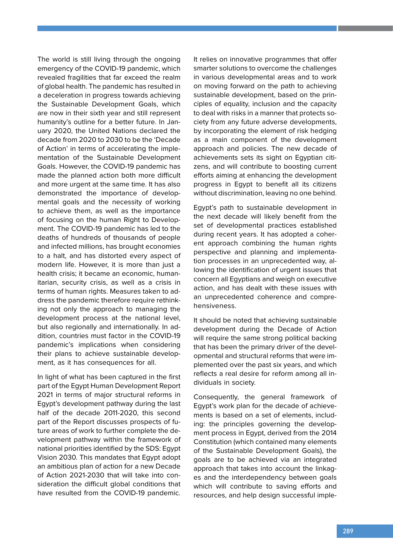The world is still living through the ongoing emergency of the COVID-19 pandemic, which revealed fragilities that far exceed the realm of global health. The pandemic has resulted in a deceleration in progress towards achieving the Sustainable Development Goals, which are now in their sixth year and still represent humanity's outline for a better future. In January 2020, the United Nations declared the decade from 2020 to 2030 to be the 'Decade of Action' in terms of accelerating the implementation of the Sustainable Development Goals. However, the COVID-19 pandemic has made the planned action both more difficult and more urgent at the same time. It has also demonstrated the importance of developmental goals and the necessity of working to achieve them, as well as the importance of focusing on the human Right to Development. The COVID-19 pandemic has led to the deaths of hundreds of thousands of people and infected millions, has brought economies to a halt, and has distorted every aspect of modern life. However, it is more than just a health crisis; it became an economic, humanitarian, security crisis, as well as a crisis in terms of human rights. Measures taken to address the pandemic therefore require rethinking not only the approach to managing the development process at the national level, but also regionally and internationally. In addition, countries must factor in the COVID-19 pandemic's implications when considering their plans to achieve sustainable development, as it has consequences for all.

In light of what has been captured in the first part of the Egypt Human Development Report 2021 in terms of major structural reforms in Egypt's development pathway during the last half of the decade 2011-2020, this second part of the Report discusses prospects of future areas of work to further complete the development pathway within the framework of national priorities identified by the SDS: Egypt Vision 2030. This mandates that Egypt adopt an ambitious plan of action for a new Decade of Action 2021-2030 that will take into consideration the difficult global conditions that have resulted from the COVID-19 pandemic.

It relies on innovative programmes that offer smarter solutions to overcome the challenges in various developmental areas and to work on moving forward on the path to achieving sustainable development, based on the principles of equality, inclusion and the capacity to deal with risks in a manner that protects society from any future adverse developments, by incorporating the element of risk hedging as a main component of the development approach and policies. The new decade of achievements sets its sight on Egyptian citizens, and will contribute to boosting current efforts aiming at enhancing the development progress in Egypt to benefit all its citizens without discrimination, leaving no one behind.

Egypt's path to sustainable development in the next decade will likely benefit from the set of developmental practices established during recent years. It has adopted a coherent approach combining the human rights perspective and planning and implementation processes in an unprecedented way, allowing the identification of urgent issues that concern all Egyptians and weigh on executive action, and has dealt with these issues with an unprecedented coherence and comprehensiveness.

It should be noted that achieving sustainable development during the Decade of Action will require the same strong political backing that has been the primary driver of the developmental and structural reforms that were implemented over the past six years, and which reflects a real desire for reform among all individuals in society.

Consequently, the general framework of Egypt's work plan for the decade of achievements is based on a set of elements, including: the principles governing the development process in Egypt, derived from the 2014 Constitution (which contained many elements of the Sustainable Development Goals), the goals are to be achieved via an integrated approach that takes into account the linkages and the interdependency between goals which will contribute to saving efforts and resources, and help design successful imple-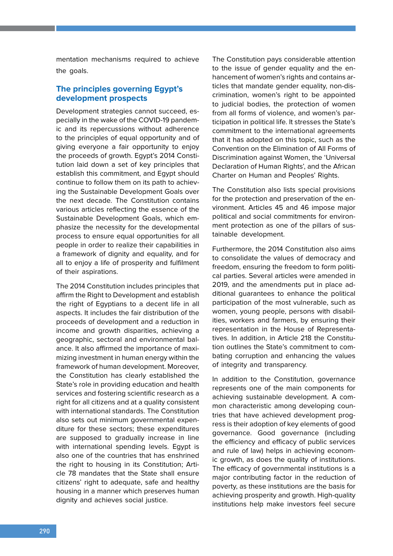mentation mechanisms required to achieve the goals.

# **The principles governing Egypt's development prospects**

Development strategies cannot succeed, especially in the wake of the COVID-19 pandemic and its repercussions without adherence to the principles of equal opportunity and of giving everyone a fair opportunity to enjoy the proceeds of growth. Egypt's 2014 Constitution laid down a set of key principles that establish this commitment, and Egypt should continue to follow them on its path to achieving the Sustainable Development Goals over the next decade. The Constitution contains various articles reflecting the essence of the Sustainable Development Goals, which emphasize the necessity for the developmental process to ensure equal opportunities for all people in order to realize their capabilities in a framework of dignity and equality, and for all to enjoy a life of prosperity and fulfilment of their aspirations.

The 2014 Constitution includes principles that affirm the Right to Development and establish the right of Egyptians to a decent life in all aspects. It includes the fair distribution of the proceeds of development and a reduction in income and growth disparities, achieving a geographic, sectoral and environmental balance. It also affirmed the importance of maximizing investment in human energy within the framework of human development. Moreover, the Constitution has clearly established the State's role in providing education and health services and fostering scientific research as a right for all citizens and at a quality consistent with international standards. The Constitution also sets out minimum governmental expenditure for these sectors; these expenditures are supposed to gradually increase in line with international spending levels. Egypt is also one of the countries that has enshrined the right to housing in its Constitution; Article 78 mandates that the State shall ensure citizens' right to adequate, safe and healthy housing in a manner which preserves human dignity and achieves social justice.

The Constitution pays considerable attention to the issue of gender equality and the enhancement of women's rights and contains articles that mandate gender equality, non-discrimination, women's right to be appointed to judicial bodies, the protection of women from all forms of violence, and women's participation in political life. It stresses the State's commitment to the international agreements that it has adopted on this topic, such as the Convention on the Elimination of All Forms of Discrimination against Women, the 'Universal Declaration of Human Rights', and the African Charter on Human and Peoples' Rights.

The Constitution also lists special provisions for the protection and preservation of the environment. Articles 45 and 46 impose major political and social commitments for environment protection as one of the pillars of sustainable development.

Furthermore, the 2014 Constitution also aims to consolidate the values of democracy and freedom, ensuring the freedom to form political parties. Several articles were amended in 2019, and the amendments put in place additional guarantees to enhance the political participation of the most vulnerable, such as women, young people, persons with disabilities, workers and farmers, by ensuring their representation in the House of Representatives. In addition, in Article 218 the Constitution outlines the State's commitment to combating corruption and enhancing the values of integrity and transparency.

In addition to the Constitution, governance represents one of the main components for achieving sustainable development. A common characteristic among developing countries that have achieved development progress is their adoption of key elements of good governance. Good governance (including the efficiency and efficacy of public services and rule of law) helps in achieving economic growth, as does the quality of institutions. The efficacy of governmental institutions is a major contributing factor in the reduction of poverty, as these institutions are the basis for achieving prosperity and growth. High-quality institutions help make investors feel secure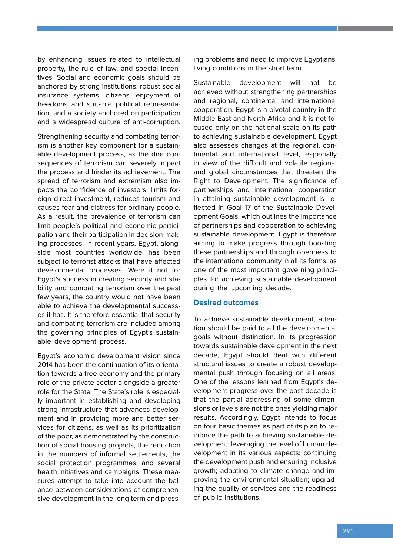by enhancing issues related to intellectual property, the rule of law, and special incentives. Social and economic goals should be anchored by strong institutions, robust social insurance systems, citizens' enjoyment of freedoms and suitable political representation, and a society anchored on participation and a widespread culture of anti-corruption.

Strengthening security and combating terrorism is another key component for a sustainable development process, as the dire consequences of terrorism can severely impact the process and hinder its achievement. The spread of terrorism and extremism also impacts the confidence of investors, limits foreign direct investment, reduces tourism and causes fear and distress for ordinary people. As a result, the prevalence of terrorism can limit people's political and economic participation and their participation in decision-making processes. In recent years, Egypt, alongside most countries worldwide, has been subject to terrorist attacks that have affected developmental processes. Were it not for Egypt's success in creating security and stability and combating terrorism over the past few years, the country would not have been able to achieve the developmental successes it has. It is therefore essential that security and combating terrorism are included among the governing principles of Egypt's sustainable development process.

Egypt's economic development vision since 2014 has been the continuation of its orientation towards a free economy and the primary role of the private sector alongside a greater role for the State. The State's role is especially important in establishing and developing strong infrastructure that advances development and in providing more and better services for citizens, as well as its prioritization of the poor, as demonstrated by the construction of social housing projects, the reduction in the numbers of informal settlements, the social protection programmes, and several health initiatives and campaigns. These measures attempt to take into account the balance between considerations of comprehensive development in the long term and pressing problems and need to improve Egyptians' living conditions in the short term.

Sustainable development will not be achieved without strengthening partnerships and regional, continental and international cooperation. Egypt is a pivotal country in the Middle East and North Africa and it is not focused only on the national scale on its path to achieving sustainable development. Egypt also assesses changes at the regional, continental and international level, especially in view of the difficult and volatile regional and global circumstances that threaten the Right to Development. The significance of partnerships and international cooperation in attaining sustainable development is reflected in Goal 17 of the Sustainable Development Goals, which outlines the importance of partnerships and cooperation to achieving sustainable development. Egypt is therefore aiming to make progress through boosting these partnerships and through openness to the international community in all its forms, as one of the most important governing principles for achieving sustainable development during the upcoming decade.

#### **Desired outcomes**

To achieve sustainable development, attention should be paid to all the developmental goals without distinction. In its progression towards sustainable development in the next decade, Egypt should deal with different structural issues to create a robust developmental push through focusing on all areas. One of the lessons learned from Egypt's development progress over the past decade is that the partial addressing of some dimensions or levels are not the ones yielding major results. Accordingly, Egypt intends to focus on four basic themes as part of its plan to reinforce the path to achieving sustainable development: leveraging the level of human development in its various aspects; continuing the development push and ensuring inclusive growth; adapting to climate change and improving the environmental situation; upgrading the quality of services and the readiness of public institutions.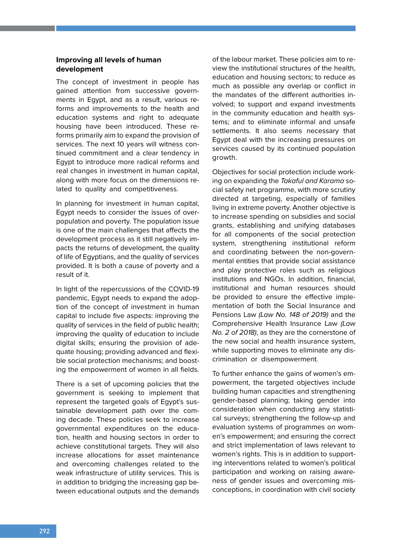## **Improving all levels of human development**

The concept of investment in people has gained attention from successive governments in Egypt, and as a result, various reforms and improvements to the health and education systems and right to adequate housing have been introduced. These reforms primarily aim to expand the provision of services. The next 10 years will witness continued commitment and a clear tendency in Egypt to introduce more radical reforms and real changes in investment in human capital, along with more focus on the dimensions related to quality and competitiveness.

In planning for investment in human capital, Egypt needs to consider the issues of overpopulation and poverty. The population issue is one of the main challenges that affects the development process as it still negatively impacts the returns of development, the quality of life of Egyptians, and the quality of services provided. It is both a cause of poverty and a result of it.

In light of the repercussions of the COVID-19 pandemic, Egypt needs to expand the adoption of the concept of investment in human capital to include five aspects: improving the quality of services in the field of public health; improving the quality of education to include digital skills; ensuring the provision of adequate housing; providing advanced and flexible social protection mechanisms; and boosting the empowerment of women in all fields.

There is a set of upcoming policies that the government is seeking to implement that represent the targeted goals of Egypt's sustainable development path over the coming decade. These policies seek to increase governmental expenditures on the education, health and housing sectors in order to achieve constitutional targets. They will also increase allocations for asset maintenance and overcoming challenges related to the weak infrastructure of utility services. This is in addition to bridging the increasing gap between educational outputs and the demands of the labour market. These policies aim to review the institutional structures of the health, education and housing sectors; to reduce as much as possible any overlap or conflict in the mandates of the different authorities involved; to support and expand investments in the community education and health systems; and to eliminate informal and unsafe settlements. It also seems necessary that Egypt deal with the increasing pressures on services caused by its continued population growth.

Objectives for social protection include working on expanding the Takaful and Karama social safety net programme, with more scrutiny directed at targeting, especially of families living in extreme poverty. Another objective is to increase spending on subsidies and social grants, establishing and unifying databases for all components of the social protection system, strengthening institutional reform and coordinating between the non-governmental entities that provide social assistance and play protective roles such as religious institutions and NGOs. In addition, financial, institutional and human resources should be provided to ensure the effective implementation of both the Social Insurance and Pensions Law *(Law No. 148 of 2019)* and the Comprehensive Health Insurance Law (Law No. 2 of 2018), as they are the cornerstone of the new social and health insurance system, while supporting moves to eliminate any discrimination or disempowerment.

To further enhance the gains of women's empowerment, the targeted objectives include building human capacities and strengthening gender-based planning; taking gender into consideration when conducting any statistical surveys; strengthening the follow-up and evaluation systems of programmes on women's empowerment; and ensuring the correct and strict implementation of laws relevant to women's rights. This is in addition to supporting interventions related to women's political participation and working on raising awareness of gender issues and overcoming misconceptions, in coordination with civil society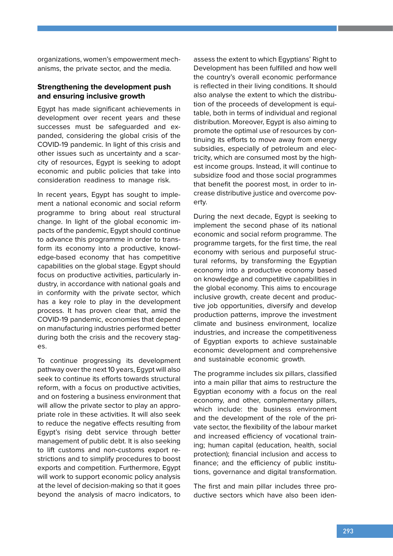organizations, women's empowerment mechanisms, the private sector, and the media.

## **Strengthening the development push and ensuring inclusive growth**

Egypt has made significant achievements in development over recent years and these successes must be safeguarded and expanded, considering the global crisis of the COVID-19 pandemic. In light of this crisis and other issues such as uncertainty and a scarcity of resources, Egypt is seeking to adopt economic and public policies that take into consideration readiness to manage risk.

In recent years, Egypt has sought to implement a national economic and social reform programme to bring about real structural change. In light of the global economic impacts of the pandemic, Egypt should continue to advance this programme in order to transform its economy into a productive, knowledge-based economy that has competitive capabilities on the global stage. Egypt should focus on productive activities, particularly industry, in accordance with national goals and in conformity with the private sector, which has a key role to play in the development process. It has proven clear that, amid the COVID-19 pandemic, economies that depend on manufacturing industries performed better during both the crisis and the recovery stages.

To continue progressing its development pathway over the next 10 years, Egypt will also seek to continue its efforts towards structural reform, with a focus on productive activities, and on fostering a business environment that will allow the private sector to play an appropriate role in these activities. It will also seek to reduce the negative effects resulting from Egypt's rising debt service through better management of public debt. It is also seeking to lift customs and non-customs export restrictions and to simplify procedures to boost exports and competition. Furthermore, Egypt will work to support economic policy analysis at the level of decision-making so that it goes beyond the analysis of macro indicators, to

assess the extent to which Egyptians' Right to Development has been fulfilled and how well the country's overall economic performance is reflected in their living conditions. It should also analyse the extent to which the distribution of the proceeds of development is equitable, both in terms of individual and regional distribution. Moreover, Egypt is also aiming to promote the optimal use of resources by continuing its efforts to move away from energy subsidies, especially of petroleum and electricity, which are consumed most by the highest income groups. Instead, it will continue to subsidize food and those social programmes that benefit the poorest most, in order to increase distributive justice and overcome poverty.

During the next decade, Egypt is seeking to implement the second phase of its national economic and social reform programme. The programme targets, for the first time, the real economy with serious and purposeful structural reforms, by transforming the Egyptian economy into a productive economy based on knowledge and competitive capabilities in the global economy. This aims to encourage inclusive growth, create decent and productive job opportunities, diversify and develop production patterns, improve the investment climate and business environment, localize industries, and increase the competitiveness of Egyptian exports to achieve sustainable economic development and comprehensive and sustainable economic growth.

The programme includes six pillars, classified into a main pillar that aims to restructure the Egyptian economy with a focus on the real economy, and other, complementary pillars, which include: the business environment and the development of the role of the private sector, the flexibility of the labour market and increased efficiency of vocational training; human capital (education, health, social protection); financial inclusion and access to finance; and the efficiency of public institutions, governance and digital transformation.

The first and main pillar includes three productive sectors which have also been iden-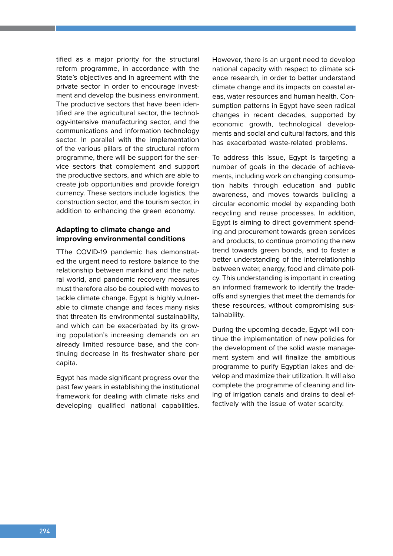tified as a major priority for the structural reform programme, in accordance with the State's objectives and in agreement with the private sector in order to encourage investment and develop the business environment. The productive sectors that have been identified are the agricultural sector, the technology-intensive manufacturing sector, and the communications and information technology sector. In parallel with the implementation of the various pillars of the structural reform programme, there will be support for the service sectors that complement and support the productive sectors, and which are able to create job opportunities and provide foreign currency. These sectors include logistics, the construction sector, and the tourism sector, in addition to enhancing the green economy.

# **Adapting to climate change and improving environmental conditions**

TThe COVID-19 pandemic has demonstrated the urgent need to restore balance to the relationship between mankind and the natural world, and pandemic recovery measures must therefore also be coupled with moves to tackle climate change. Egypt is highly vulnerable to climate change and faces many risks that threaten its environmental sustainability, and which can be exacerbated by its growing population's increasing demands on an already limited resource base, and the continuing decrease in its freshwater share per capita.

Egypt has made significant progress over the past few years in establishing the institutional framework for dealing with climate risks and developing qualified national capabilities. However, there is an urgent need to develop national capacity with respect to climate science research, in order to better understand climate change and its impacts on coastal areas, water resources and human health. Consumption patterns in Egypt have seen radical changes in recent decades, supported by economic growth, technological developments and social and cultural factors, and this has exacerbated waste-related problems.

To address this issue, Egypt is targeting a number of goals in the decade of achievements, including work on changing consumption habits through education and public awareness, and moves towards building a circular economic model by expanding both recycling and reuse processes. In addition, Egypt is aiming to direct government spending and procurement towards green services and products, to continue promoting the new trend towards green bonds, and to foster a better understanding of the interrelationship between water, energy, food and climate policy. This understanding is important in creating an informed framework to identify the tradeoffs and synergies that meet the demands for these resources, without compromising sustainability.

During the upcoming decade, Egypt will continue the implementation of new policies for the development of the solid waste management system and will finalize the ambitious programme to purify Egyptian lakes and develop and maximize their utilization. It will also complete the programme of cleaning and lining of irrigation canals and drains to deal effectively with the issue of water scarcity.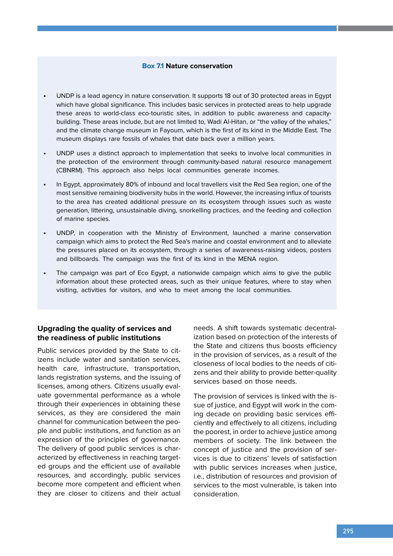## **Box 7.1 Nature conservation**

- **•** UNDP is a lead agency in nature conservation. It supports 18 out of 30 protected areas in Egypt which have global significance. This includes basic services in protected areas to help upgrade these areas to world-class eco-touristic sites, in addition to public awareness and capacitybuilding. These areas include, but are not limited to, Wadi Al-Hitan, or "the valley of the whales," and the climate change museum in Fayoum, which is the first of its kind in the Middle East. The museum displays rare fossils of whales that date back over a million years.
- **•** UNDP uses a distinct approach to implementation that seeks to involve local communities in the protection of the environment through community-based natural resource management (CBNRM). This approach also helps local communities generate incomes.
- **•** In Egypt, approximately 80% of inbound and local travellers visit the Red Sea region, one of the most sensitive remaining biodiversity hubs in the world. However, the increasing influx of tourists to the area has created additional pressure on its ecosystem through issues such as waste generation, littering, unsustainable diving, snorkelling practices, and the feeding and collection of marine species.
- **•** UNDP, in cooperation with the Ministry of Environment, launched a marine conservation campaign which aims to protect the Red Sea's marine and coastal environment and to alleviate the pressures placed on its ecosystem, through a series of awareness-raising videos, posters and billboards. The campaign was the first of its kind in the MENA region.
- **•** The campaign was part of Eco Egypt, a nationwide campaign which aims to give the public information about these protected areas, such as their unique features, where to stay when visiting, activities for visitors, and who to meet among the local communities.

# **Upgrading the quality of services and the readiness of public institutions**

Public services provided by the State to citizens include water and sanitation services, health care, infrastructure, transportation, lands registration systems, and the issuing of licenses, among others. Citizens usually evaluate governmental performance as a whole through their experiences in obtaining these services, as they are considered the main channel for communication between the people and public institutions, and function as an expression of the principles of governance. The delivery of good public services is characterized by effectiveness in reaching targeted groups and the efficient use of available resources, and accordingly, public services become more competent and efficient when they are closer to citizens and their actual

needs. A shift towards systematic decentralization based on protection of the interests of the State and citizens thus boosts efficiency in the provision of services, as a result of the closeness of local bodies to the needs of citizens and their ability to provide better-quality services based on those needs.

The provision of services is linked with the issue of justice, and Egypt will work in the coming decade on providing basic services efficiently and effectively to all citizens, including the poorest, in order to achieve justice among members of society. The link between the concept of justice and the provision of services is due to citizens' levels of satisfaction with public services increases when justice, i.e., distribution of resources and provision of services to the most vulnerable, is taken into consideration.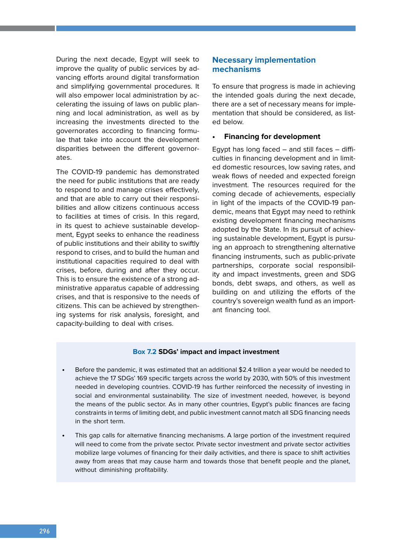During the next decade, Egypt will seek to improve the quality of public services by advancing efforts around digital transformation and simplifying governmental procedures. It will also empower local administration by accelerating the issuing of laws on public planning and local administration, as well as by increasing the investments directed to the governorates according to financing formulae that take into account the development disparities between the different governorates.

The COVID-19 pandemic has demonstrated the need for public institutions that are ready to respond to and manage crises effectively, and that are able to carry out their responsibilities and allow citizens continuous access to facilities at times of crisis. In this regard, in its quest to achieve sustainable development, Egypt seeks to enhance the readiness of public institutions and their ability to swiftly respond to crises, and to build the human and institutional capacities required to deal with crises, before, during and after they occur. This is to ensure the existence of a strong administrative apparatus capable of addressing crises, and that is responsive to the needs of citizens. This can be achieved by strengthening systems for risk analysis, foresight, and capacity-building to deal with crises.

# **Necessary implementation mechanisms**

To ensure that progress is made in achieving the intended goals during the next decade, there are a set of necessary means for implementation that should be considered, as listed below.

## **• Financing for development**

Egypt has long faced  $-$  and still faces  $-$  difficulties in financing development and in limited domestic resources, low saving rates, and weak flows of needed and expected foreign investment. The resources required for the coming decade of achievements, especially in light of the impacts of the COVID-19 pandemic, means that Egypt may need to rethink existing development financing mechanisms adopted by the State. In its pursuit of achieving sustainable development, Egypt is pursuing an approach to strengthening alternative financing instruments, such as public-private partnerships, corporate social responsibility and impact investments, green and SDG bonds, debt swaps, and others, as well as building on and utilizing the efforts of the country's sovereign wealth fund as an important financing tool.

## **Box 7.2 SDGs' impact and impact investment**

- **•** Before the pandemic, it was estimated that an additional \$2.4 trillion a year would be needed to achieve the 17 SDGs' 169 specific targets across the world by 2030, with 50% of this investment needed in developing countries. COVID-19 has further reinforced the necessity of investing in social and environmental sustainability. The size of investment needed, however, is beyond the means of the public sector. As in many other countries, Egypt's public finances are facing constraints in terms of limiting debt, and public investment cannot match all SDG financing needs in the short term.
- **•** This gap calls for alternative financing mechanisms. A large portion of the investment required will need to come from the private sector. Private sector investment and private sector activities mobilize large volumes of financing for their daily activities, and there is space to shift activities away from areas that may cause harm and towards those that benefit people and the planet, without diminishing profitability.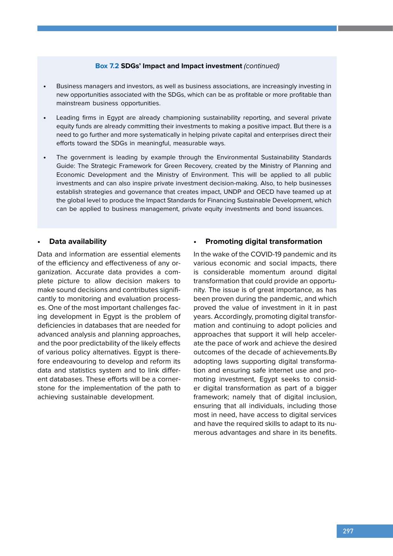## **Box 7.2 SDGs' Impact and Impact investment** (continued)

- **•** Business managers and investors, as well as business associations, are increasingly investing in new opportunities associated with the SDGs, which can be as profitable or more profitable than mainstream business opportunities.
- **•** Leading firms in Egypt are already championing sustainability reporting, and several private equity funds are already committing their investments to making a positive impact. But there is a need to go further and more systematically in helping private capital and enterprises direct their efforts toward the SDGs in meaningful, measurable ways.
- **•** The government is leading by example through the Environmental Sustainability Standards Guide: The Strategic Framework for Green Recovery, created by the Ministry of Planning and Economic Development and the Ministry of Environment. This will be applied to all public investments and can also inspire private investment decision-making. Also, to help businesses establish strategies and governance that creates impact, UNDP and OECD have teamed up at the global level to produce the Impact Standards for Financing Sustainable Development, which can be applied to business management, private equity investments and bond issuances.

## **• Data availability**

Data and information are essential elements of the efficiency and effectiveness of any organization. Accurate data provides a complete picture to allow decision makers to make sound decisions and contributes significantly to monitoring and evaluation processes. One of the most important challenges facing development in Egypt is the problem of deficiencies in databases that are needed for advanced analysis and planning approaches, and the poor predictability of the likely effects of various policy alternatives. Egypt is therefore endeavouring to develop and reform its data and statistics system and to link different databases. These efforts will be a cornerstone for the implementation of the path to achieving sustainable development.

## **• Promoting digital transformation**

In the wake of the COVID-19 pandemic and its various economic and social impacts, there is considerable momentum around digital transformation that could provide an opportunity. The issue is of great importance, as has been proven during the pandemic, and which proved the value of investment in it in past years. Accordingly, promoting digital transformation and continuing to adopt policies and approaches that support it will help accelerate the pace of work and achieve the desired outcomes of the decade of achievements.By adopting laws supporting digital transformation and ensuring safe internet use and promoting investment, Egypt seeks to consider digital transformation as part of a bigger framework; namely that of digital inclusion, ensuring that all individuals, including those most in need, have access to digital services and have the required skills to adapt to its numerous advantages and share in its benefits.